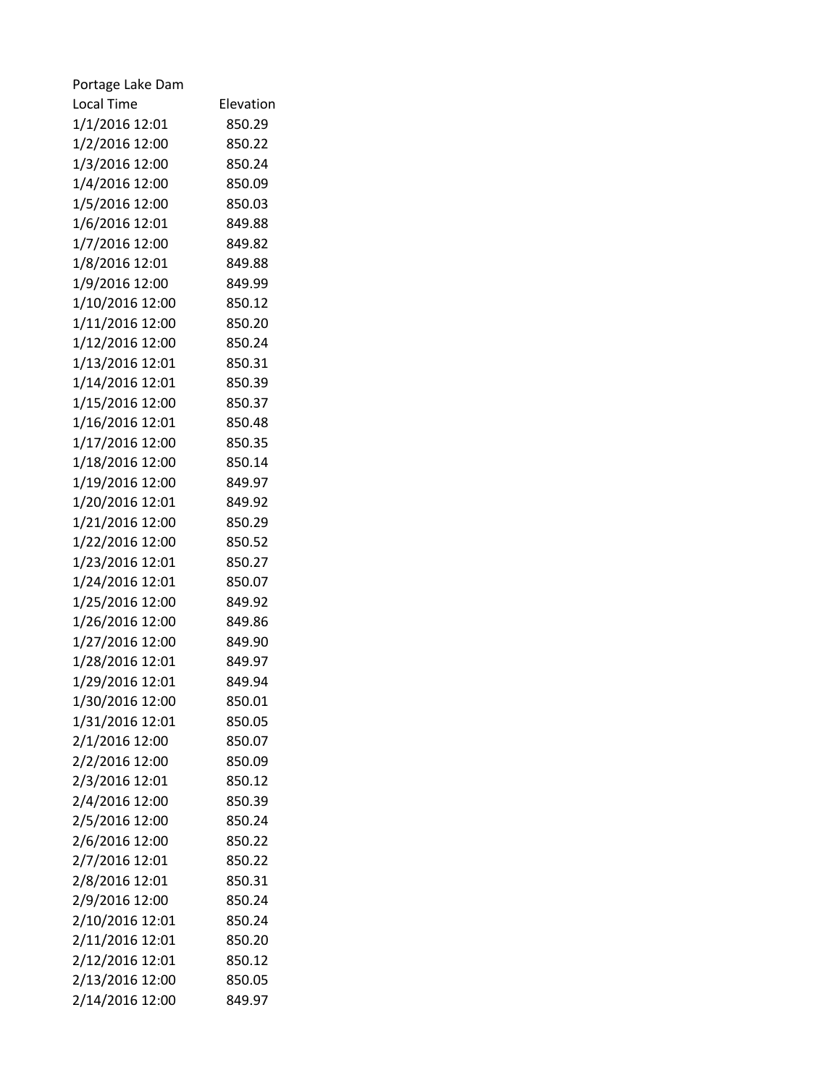| Portage Lake Dam  |           |
|-------------------|-----------|
| <b>Local Time</b> | Elevation |
| 1/1/2016 12:01    | 850.29    |
| 1/2/2016 12:00    | 850.22    |
| 1/3/2016 12:00    | 850.24    |
| 1/4/2016 12:00    | 850.09    |
| 1/5/2016 12:00    | 850.03    |
| 1/6/2016 12:01    | 849.88    |
| 1/7/2016 12:00    | 849.82    |
| 1/8/2016 12:01    | 849.88    |
| 1/9/2016 12:00    | 849.99    |
| 1/10/2016 12:00   | 850.12    |
| 1/11/2016 12:00   | 850.20    |
| 1/12/2016 12:00   | 850.24    |
| 1/13/2016 12:01   | 850.31    |
| 1/14/2016 12:01   | 850.39    |
| 1/15/2016 12:00   | 850.37    |
| 1/16/2016 12:01   | 850.48    |
| 1/17/2016 12:00   | 850.35    |
| 1/18/2016 12:00   | 850.14    |
| 1/19/2016 12:00   | 849.97    |
| 1/20/2016 12:01   | 849.92    |
| 1/21/2016 12:00   | 850.29    |
| 1/22/2016 12:00   | 850.52    |
| 1/23/2016 12:01   | 850.27    |
| 1/24/2016 12:01   | 850.07    |
| 1/25/2016 12:00   | 849.92    |
| 1/26/2016 12:00   | 849.86    |
| 1/27/2016 12:00   | 849.90    |
| 1/28/2016 12:01   | 849.97    |
| 1/29/2016 12:01   | 849.94    |
| 1/30/2016 12:00   | 850.01    |
| 1/31/2016 12:01   | 850.05    |
| 2/1/2016 12:00    | 850.07    |
| 2/2/2016 12:00    | 850.09    |
| 2/3/2016 12:01    | 850.12    |
| 2/4/2016 12:00    | 850.39    |
| 2/5/2016 12:00    | 850.24    |
| 2/6/2016 12:00    | 850.22    |
| 2/7/2016 12:01    | 850.22    |
| 2/8/2016 12:01    | 850.31    |
| 2/9/2016 12:00    | 850.24    |
| 2/10/2016 12:01   | 850.24    |
| 2/11/2016 12:01   | 850.20    |
| 2/12/2016 12:01   | 850.12    |
| 2/13/2016 12:00   | 850.05    |
| 2/14/2016 12:00   | 849.97    |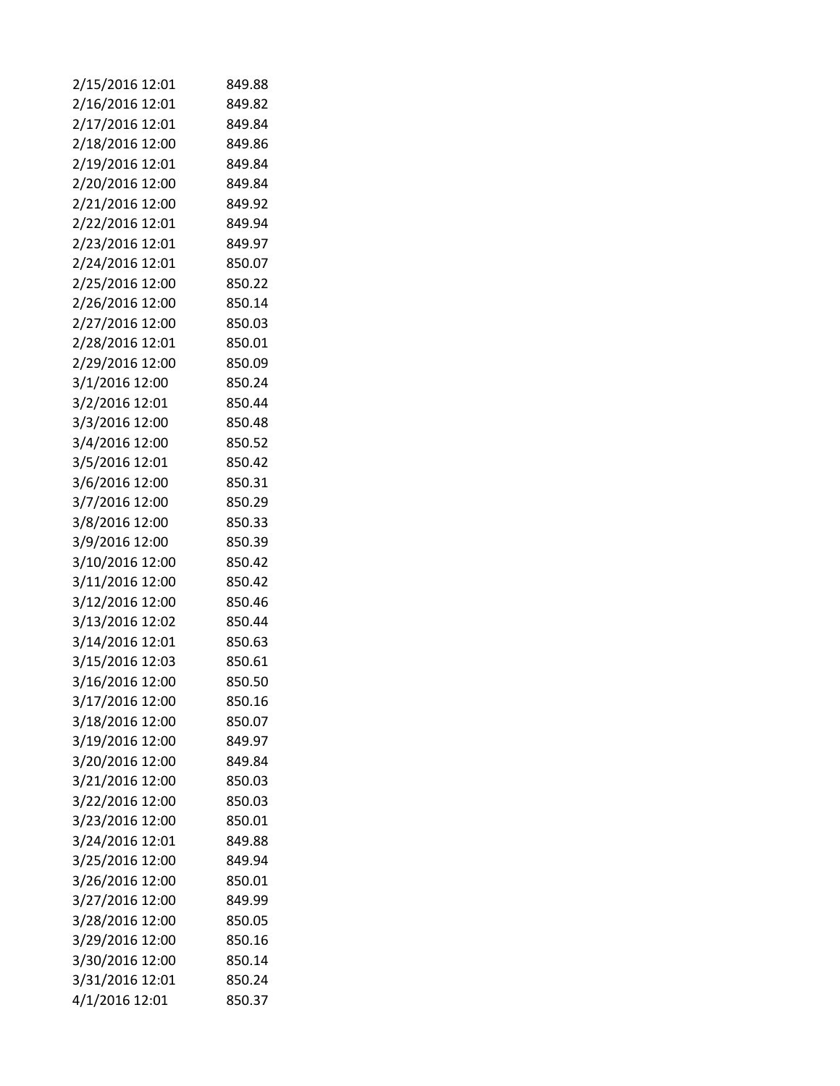| 2/15/2016 12:01 | 849.88 |
|-----------------|--------|
| 2/16/2016 12:01 | 849.82 |
| 2/17/2016 12:01 | 849.84 |
| 2/18/2016 12:00 | 849.86 |
| 2/19/2016 12:01 | 849.84 |
| 2/20/2016 12:00 | 849.84 |
| 2/21/2016 12:00 | 849.92 |
| 2/22/2016 12:01 | 849.94 |
| 2/23/2016 12:01 | 849.97 |
| 2/24/2016 12:01 | 850.07 |
| 2/25/2016 12:00 | 850.22 |
| 2/26/2016 12:00 | 850.14 |
| 2/27/2016 12:00 | 850.03 |
| 2/28/2016 12:01 | 850.01 |
| 2/29/2016 12:00 | 850.09 |
| 3/1/2016 12:00  | 850.24 |
| 3/2/2016 12:01  | 850.44 |
| 3/3/2016 12:00  | 850.48 |
| 3/4/2016 12:00  | 850.52 |
| 3/5/2016 12:01  | 850.42 |
| 3/6/2016 12:00  | 850.31 |
| 3/7/2016 12:00  | 850.29 |
| 3/8/2016 12:00  | 850.33 |
| 3/9/2016 12:00  | 850.39 |
| 3/10/2016 12:00 | 850.42 |
| 3/11/2016 12:00 | 850.42 |
| 3/12/2016 12:00 | 850.46 |
| 3/13/2016 12:02 | 850.44 |
| 3/14/2016 12:01 | 850.63 |
| 3/15/2016 12:03 | 850.61 |
| 3/16/2016 12:00 | 850.50 |
| 3/17/2016 12:00 | 850.16 |
| 3/18/2016 12:00 | 850.07 |
| 3/19/2016 12:00 | 849.97 |
| 3/20/2016 12:00 | 849.84 |
| 3/21/2016 12:00 | 850.03 |
| 3/22/2016 12:00 | 850.03 |
| 3/23/2016 12:00 | 850.01 |
| 3/24/2016 12:01 | 849.88 |
| 3/25/2016 12:00 | 849.94 |
| 3/26/2016 12:00 | 850.01 |
| 3/27/2016 12:00 | 849.99 |
| 3/28/2016 12:00 | 850.05 |
| 3/29/2016 12:00 | 850.16 |
| 3/30/2016 12:00 | 850.14 |
| 3/31/2016 12:01 | 850.24 |
| 4/1/2016 12:01  | 850.37 |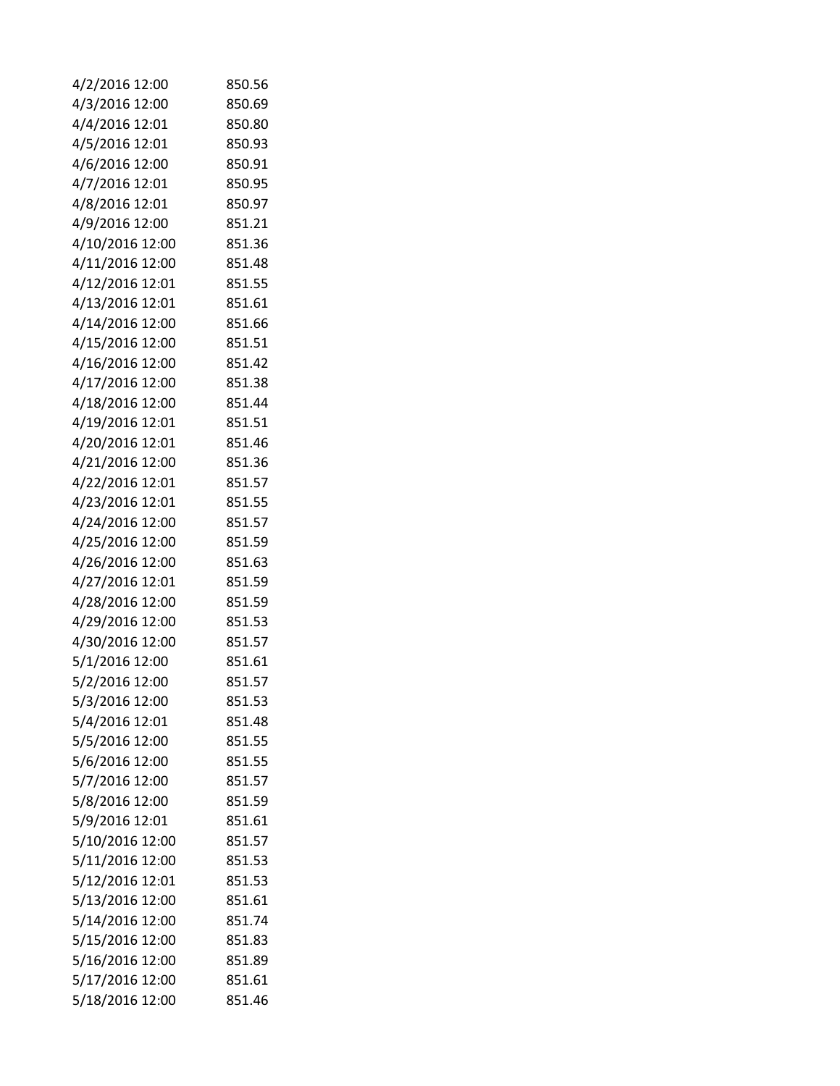| 4/2/2016 12:00  | 850.56 |
|-----------------|--------|
| 4/3/2016 12:00  | 850.69 |
| 4/4/2016 12:01  | 850.80 |
| 4/5/2016 12:01  | 850.93 |
| 4/6/2016 12:00  | 850.91 |
| 4/7/2016 12:01  | 850.95 |
| 4/8/2016 12:01  | 850.97 |
| 4/9/2016 12:00  | 851.21 |
| 4/10/2016 12:00 | 851.36 |
| 4/11/2016 12:00 | 851.48 |
| 4/12/2016 12:01 | 851.55 |
| 4/13/2016 12:01 | 851.61 |
| 4/14/2016 12:00 | 851.66 |
| 4/15/2016 12:00 | 851.51 |
| 4/16/2016 12:00 | 851.42 |
| 4/17/2016 12:00 | 851.38 |
| 4/18/2016 12:00 | 851.44 |
| 4/19/2016 12:01 | 851.51 |
| 4/20/2016 12:01 | 851.46 |
| 4/21/2016 12:00 | 851.36 |
| 4/22/2016 12:01 | 851.57 |
| 4/23/2016 12:01 | 851.55 |
| 4/24/2016 12:00 | 851.57 |
| 4/25/2016 12:00 | 851.59 |
| 4/26/2016 12:00 | 851.63 |
| 4/27/2016 12:01 | 851.59 |
| 4/28/2016 12:00 | 851.59 |
| 4/29/2016 12:00 | 851.53 |
| 4/30/2016 12:00 | 851.57 |
| 5/1/2016 12:00  | 851.61 |
| 5/2/2016 12:00  | 851.57 |
| 5/3/2016 12:00  | 851.53 |
| 5/4/2016 12:01  | 851.48 |
| 5/5/2016 12:00  | 851.55 |
| 5/6/2016 12:00  | 851.55 |
| 5/7/2016 12:00  | 851.57 |
| 5/8/2016 12:00  | 851.59 |
| 5/9/2016 12:01  | 851.61 |
| 5/10/2016 12:00 | 851.57 |
| 5/11/2016 12:00 | 851.53 |
| 5/12/2016 12:01 | 851.53 |
| 5/13/2016 12:00 | 851.61 |
| 5/14/2016 12:00 | 851.74 |
| 5/15/2016 12:00 | 851.83 |
| 5/16/2016 12:00 | 851.89 |
| 5/17/2016 12:00 | 851.61 |
| 5/18/2016 12:00 | 851.46 |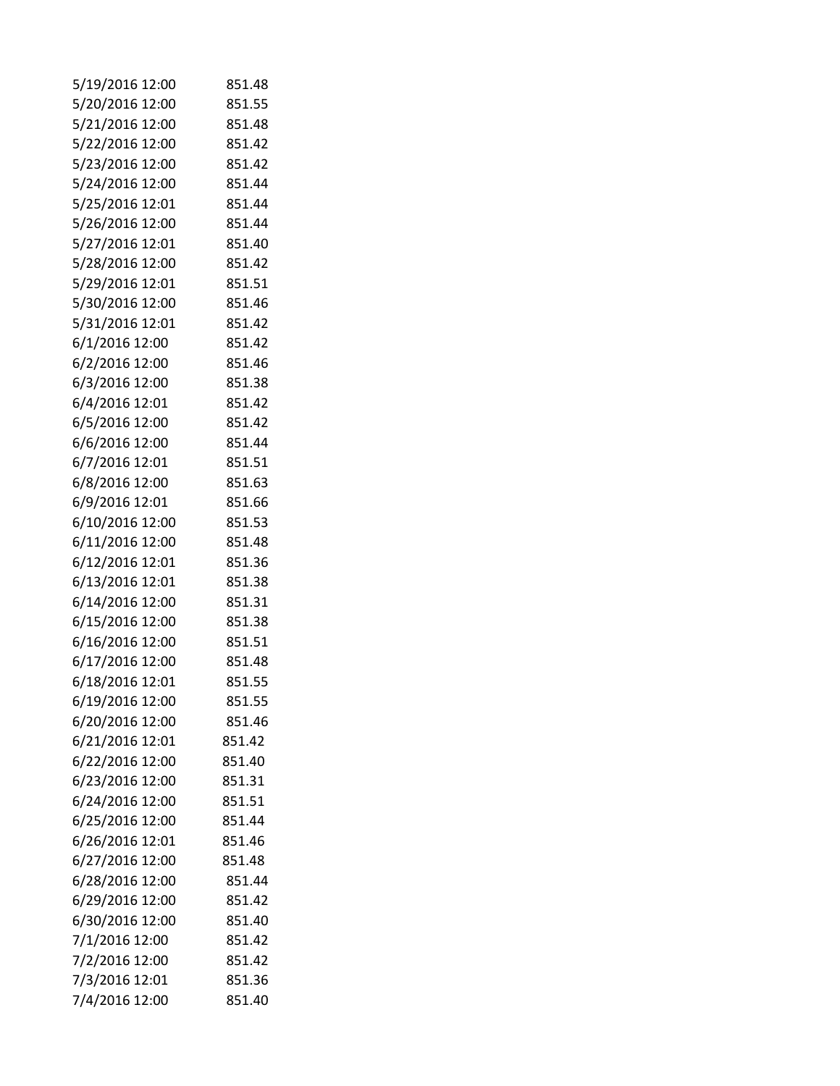| 5/19/2016 12:00 | 851.48 |
|-----------------|--------|
| 5/20/2016 12:00 | 851.55 |
| 5/21/2016 12:00 | 851.48 |
| 5/22/2016 12:00 | 851.42 |
| 5/23/2016 12:00 | 851.42 |
| 5/24/2016 12:00 | 851.44 |
| 5/25/2016 12:01 | 851.44 |
| 5/26/2016 12:00 | 851.44 |
| 5/27/2016 12:01 | 851.40 |
| 5/28/2016 12:00 | 851.42 |
| 5/29/2016 12:01 | 851.51 |
| 5/30/2016 12:00 | 851.46 |
| 5/31/2016 12:01 | 851.42 |
| 6/1/2016 12:00  | 851.42 |
| 6/2/2016 12:00  | 851.46 |
| 6/3/2016 12:00  | 851.38 |
| 6/4/2016 12:01  | 851.42 |
| 6/5/2016 12:00  | 851.42 |
| 6/6/2016 12:00  | 851.44 |
| 6/7/2016 12:01  | 851.51 |
| 6/8/2016 12:00  | 851.63 |
| 6/9/2016 12:01  | 851.66 |
| 6/10/2016 12:00 | 851.53 |
| 6/11/2016 12:00 | 851.48 |
| 6/12/2016 12:01 | 851.36 |
| 6/13/2016 12:01 | 851.38 |
| 6/14/2016 12:00 | 851.31 |
| 6/15/2016 12:00 | 851.38 |
| 6/16/2016 12:00 | 851.51 |
| 6/17/2016 12:00 | 851.48 |
| 6/18/2016 12:01 | 851.55 |
| 6/19/2016 12:00 | 851.55 |
| 6/20/2016 12:00 | 851.46 |
| 6/21/2016 12:01 | 851.42 |
| 6/22/2016 12:00 | 851.40 |
| 6/23/2016 12:00 | 851.31 |
| 6/24/2016 12:00 | 851.51 |
| 6/25/2016 12:00 | 851.44 |
| 6/26/2016 12:01 | 851.46 |
| 6/27/2016 12:00 | 851.48 |
| 6/28/2016 12:00 | 851.44 |
| 6/29/2016 12:00 | 851.42 |
| 6/30/2016 12:00 | 851.40 |
| 7/1/2016 12:00  | 851.42 |
| 7/2/2016 12:00  | 851.42 |
| 7/3/2016 12:01  | 851.36 |
| 7/4/2016 12:00  | 851.40 |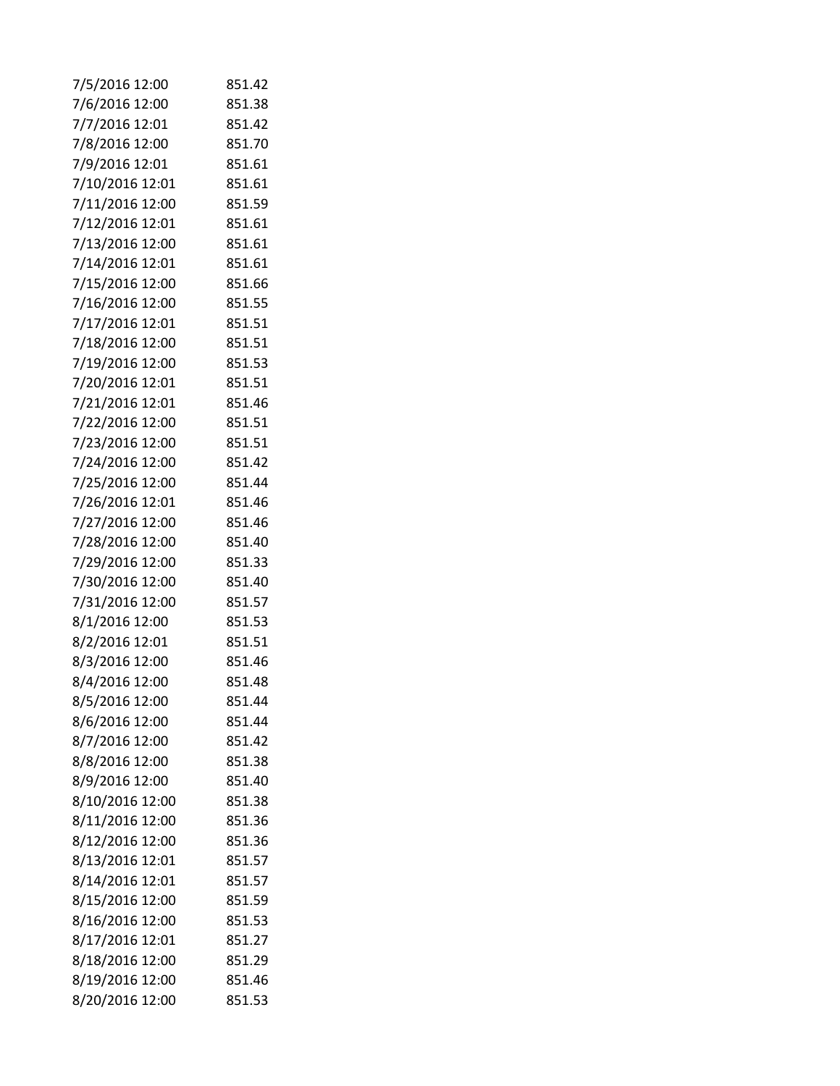| 7/5/2016 12:00  | 851.42 |
|-----------------|--------|
| 7/6/2016 12:00  | 851.38 |
| 7/7/2016 12:01  | 851.42 |
| 7/8/2016 12:00  | 851.70 |
| 7/9/2016 12:01  | 851.61 |
| 7/10/2016 12:01 | 851.61 |
| 7/11/2016 12:00 | 851.59 |
| 7/12/2016 12:01 | 851.61 |
| 7/13/2016 12:00 | 851.61 |
| 7/14/2016 12:01 | 851.61 |
| 7/15/2016 12:00 | 851.66 |
| 7/16/2016 12:00 | 851.55 |
| 7/17/2016 12:01 | 851.51 |
| 7/18/2016 12:00 | 851.51 |
| 7/19/2016 12:00 | 851.53 |
| 7/20/2016 12:01 | 851.51 |
| 7/21/2016 12:01 | 851.46 |
| 7/22/2016 12:00 | 851.51 |
| 7/23/2016 12:00 | 851.51 |
| 7/24/2016 12:00 | 851.42 |
| 7/25/2016 12:00 | 851.44 |
| 7/26/2016 12:01 | 851.46 |
| 7/27/2016 12:00 | 851.46 |
| 7/28/2016 12:00 | 851.40 |
| 7/29/2016 12:00 | 851.33 |
| 7/30/2016 12:00 | 851.40 |
| 7/31/2016 12:00 | 851.57 |
| 8/1/2016 12:00  | 851.53 |
| 8/2/2016 12:01  | 851.51 |
| 8/3/2016 12:00  | 851.46 |
| 8/4/2016 12:00  | 851.48 |
| 8/5/2016 12:00  | 851.44 |
| 8/6/2016 12:00  | 851.44 |
| 8/7/2016 12:00  | 851.42 |
| 8/8/2016 12:00  | 851.38 |
| 8/9/2016 12:00  | 851.40 |
| 8/10/2016 12:00 | 851.38 |
| 8/11/2016 12:00 | 851.36 |
| 8/12/2016 12:00 | 851.36 |
| 8/13/2016 12:01 | 851.57 |
| 8/14/2016 12:01 | 851.57 |
| 8/15/2016 12:00 | 851.59 |
| 8/16/2016 12:00 | 851.53 |
| 8/17/2016 12:01 | 851.27 |
| 8/18/2016 12:00 | 851.29 |
| 8/19/2016 12:00 | 851.46 |
| 8/20/2016 12:00 | 851.53 |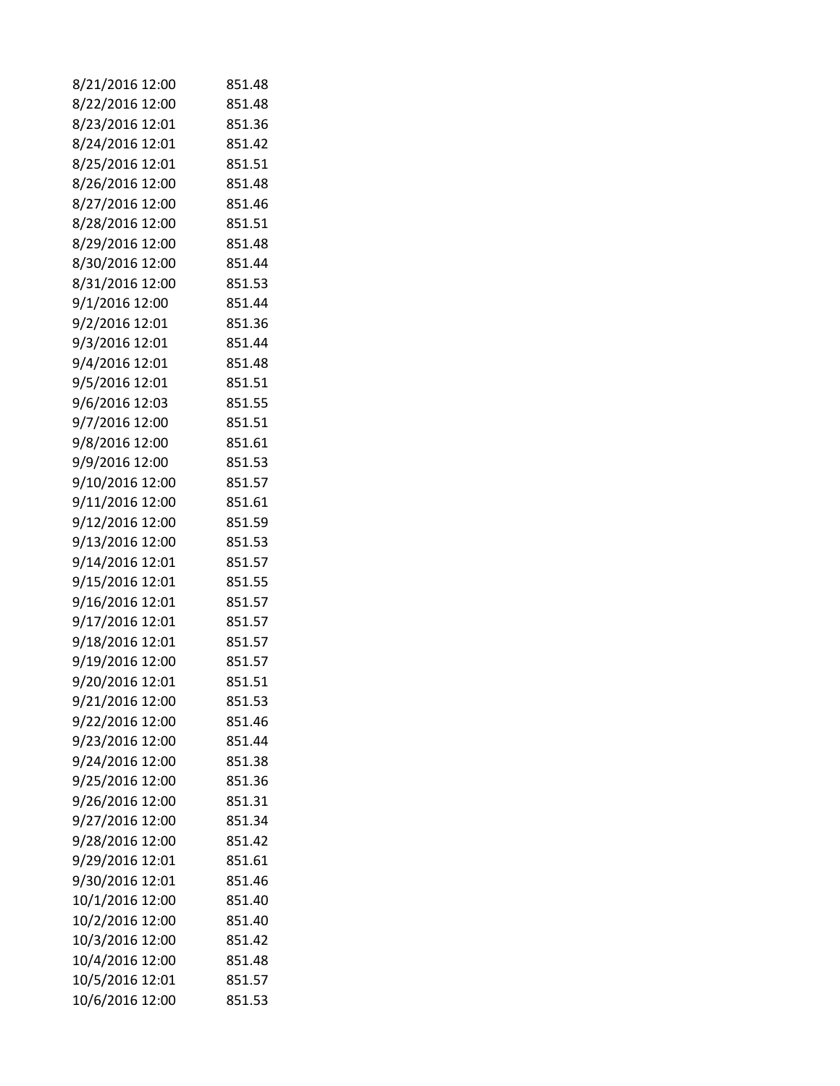| 8/21/2016 12:00                    | 851.48           |
|------------------------------------|------------------|
| 8/22/2016 12:00                    | 851.48           |
| 8/23/2016 12:01                    | 851.36           |
| 8/24/2016 12:01                    | 851.42           |
| 8/25/2016 12:01                    | 851.51           |
| 8/26/2016 12:00                    | 851.48           |
| 8/27/2016 12:00                    | 851.46           |
| 8/28/2016 12:00                    | 851.51           |
| 8/29/2016 12:00                    | 851.48           |
| 8/30/2016 12:00                    | 851.44           |
| 8/31/2016 12:00                    | 851.53           |
| 9/1/2016 12:00                     | 851.44           |
| 9/2/2016 12:01                     | 851.36           |
| 9/3/2016 12:01                     | 851.44           |
| 9/4/2016 12:01                     | 851.48           |
| 9/5/2016 12:01                     | 851.51           |
| 9/6/2016 12:03                     | 851.55           |
| 9/7/2016 12:00                     | 851.51           |
| 9/8/2016 12:00                     | 851.61           |
| 9/9/2016 12:00                     | 851.53           |
| 9/10/2016 12:00                    | 851.57           |
| 9/11/2016 12:00                    | 851.61           |
| 9/12/2016 12:00                    | 851.59           |
| 9/13/2016 12:00                    | 851.53           |
| 9/14/2016 12:01                    | 851.57           |
| 9/15/2016 12:01                    | 851.55           |
| 9/16/2016 12:01                    | 851.57           |
| 9/17/2016 12:01                    | 851.57           |
| 9/18/2016 12:01                    | 851.57           |
| 9/19/2016 12:00                    | 851.57           |
| 9/20/2016 12:01                    | 851.51           |
| 9/21/2016 12:00                    | 851.53           |
| 9/22/2016 12:00                    | 851.46           |
| 9/23/2016 12:00                    | 851.44           |
| 9/24/2016 12:00                    | 851.38           |
| 9/25/2016 12:00                    | 851.36           |
| 9/26/2016 12:00                    | 851.31           |
| 9/27/2016 12:00                    | 851.34           |
| 9/28/2016 12:00                    | 851.42           |
| 9/29/2016 12:01                    | 851.61           |
| 9/30/2016 12:01                    | 851.46           |
| 10/1/2016 12:00                    | 851.40           |
| 10/2/2016 12:00                    | 851.40<br>851.42 |
| 10/3/2016 12:00<br>10/4/2016 12:00 | 851.48           |
|                                    | 851.57           |
| 10/5/2016 12:01                    |                  |
| 10/6/2016 12:00                    | 851.53           |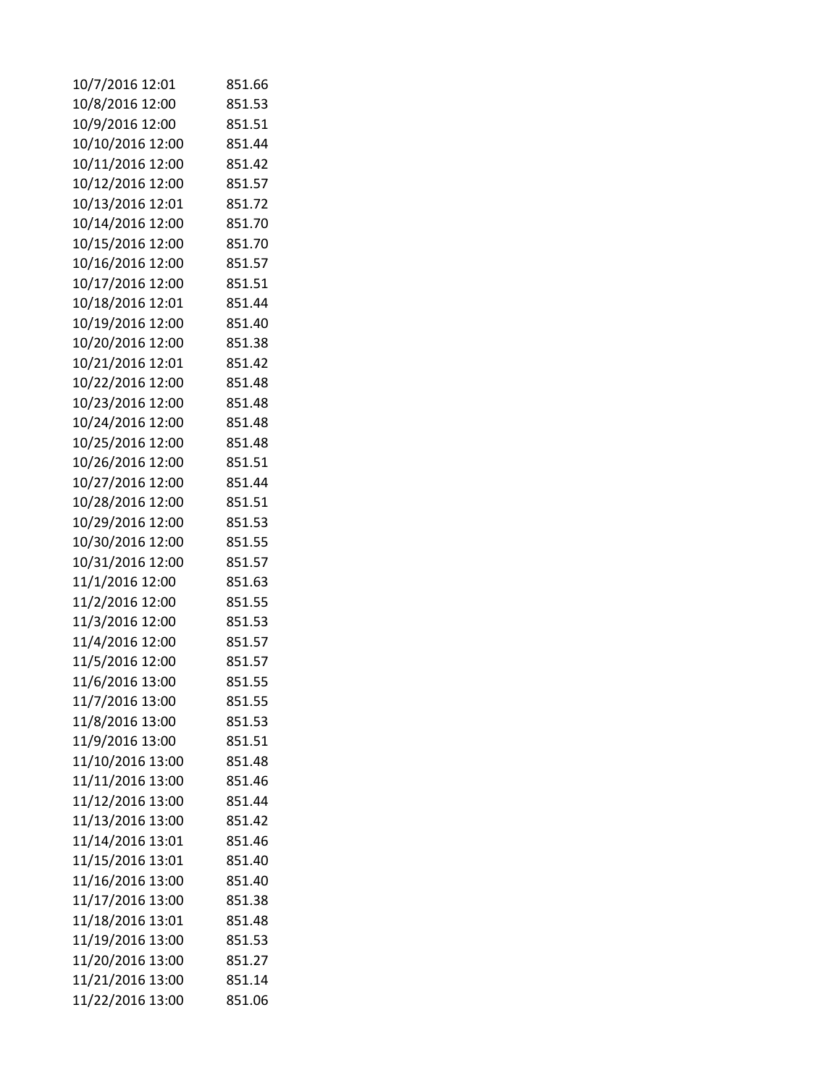| 10/7/2016 12:01                      | 851.66           |
|--------------------------------------|------------------|
| 10/8/2016 12:00                      | 851.53           |
| 10/9/2016 12:00                      | 851.51           |
| 10/10/2016 12:00                     | 851.44           |
| 10/11/2016 12:00                     | 851.42           |
| 10/12/2016 12:00                     | 851.57           |
| 10/13/2016 12:01                     | 851.72           |
| 10/14/2016 12:00                     | 851.70           |
| 10/15/2016 12:00                     | 851.70           |
| 10/16/2016 12:00                     | 851.57           |
| 10/17/2016 12:00                     | 851.51           |
| 10/18/2016 12:01                     | 851.44           |
| 10/19/2016 12:00                     | 851.40           |
| 10/20/2016 12:00                     | 851.38           |
| 10/21/2016 12:01                     | 851.42           |
| 10/22/2016 12:00                     | 851.48           |
| 10/23/2016 12:00                     | 851.48           |
| 10/24/2016 12:00                     | 851.48           |
| 10/25/2016 12:00                     | 851.48           |
| 10/26/2016 12:00                     | 851.51           |
| 10/27/2016 12:00                     | 851.44           |
| 10/28/2016 12:00                     | 851.51           |
| 10/29/2016 12:00                     | 851.53           |
| 10/30/2016 12:00                     | 851.55           |
| 10/31/2016 12:00                     | 851.57           |
| 11/1/2016 12:00                      | 851.63           |
| 11/2/2016 12:00                      | 851.55           |
| 11/3/2016 12:00                      | 851.53           |
| 11/4/2016 12:00                      | 851.57           |
| 11/5/2016 12:00                      | 851.57           |
| 11/6/2016 13:00                      | 851.55           |
| 11/7/2016 13:00                      | 851.55           |
| 11/8/2016 13:00                      | 851.53           |
| 11/9/2016 13:00                      | 851.51           |
| 11/10/2016 13:00                     | 851.48           |
| 11/11/2016 13:00                     | 851.46           |
| 11/12/2016 13:00                     | 851.44           |
| 11/13/2016 13:00                     | 851.42           |
| 11/14/2016 13:01                     | 851.46           |
| 11/15/2016 13:01                     | 851.40           |
| 11/16/2016 13:00                     | 851.40           |
| 11/17/2016 13:00                     | 851.38           |
| 11/18/2016 13:01                     | 851.48           |
| 11/19/2016 13:00<br>11/20/2016 13:00 | 851.53<br>851.27 |
|                                      | 851.14           |
| 11/21/2016 13:00                     |                  |
| 11/22/2016 13:00                     | 851.06           |